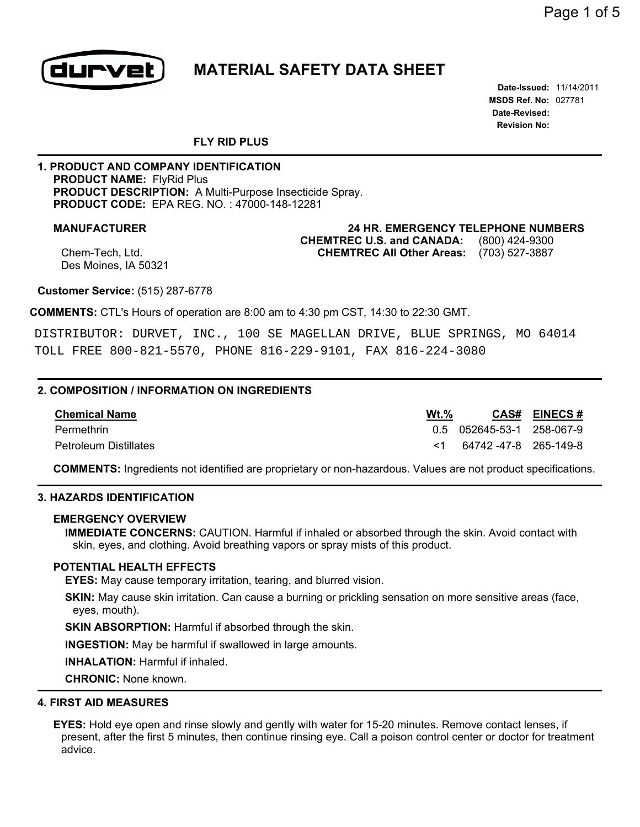

# **MATERIAL SAFETY DATA SHEET**

**Date-Issued:** 11/14/2011 **MSDS Ref. No:** 027781 **Date-Revised: Revision No:**

# **FLY RID PLUS**

### **1. PRODUCT AND COMPANY IDENTIFICATION PRODUCT NAME:** FlyRid Plus **PRODUCT DESCRIPTION:** A Multi-Purpose Insecticide Spray. **PRODUCT CODE:** EPA REG. NO. : 47000-148-12281

**MANUFACTURER 24 HR. EMERGENCY TELEPHONE NUMBERS CHEMTREC U.S. and CANADA: CHEMTREC All Other Areas:**  (703) 527-3887 (800) 424-9300

Chem-Tech, Ltd. Des Moines, IA 50321

**Customer Service:** (515) 287-6778

**COMMENTS:** CTL's Hours of operation are 8:00 am to 4:30 pm CST, 14:30 to 22:30 GMT.

DISTRIBUTOR: DURVET, INC., 100 SE MAGELLAN DRIVE, BLUE SPRINGS, MO 64014 TOLL FREE 800-821-5570, PHONE 816-229-9101, FAX 816-224-3080

# **2. COMPOSITION / INFORMATION ON INGREDIENTS**

| Chemical Name                | $Wt.\%$ |                           | CAS# EINECS # |
|------------------------------|---------|---------------------------|---------------|
| Permethrin                   |         | 0.5 052645-53-1 258-067-9 |               |
| <b>Petroleum Distillates</b> |         | 64742 -47-8 265-149-8     |               |

**COMMENTS:** Ingredients not identified are proprietary or non-hazardous. Values are not product specifications.

#### **3. HAZARDS IDENTIFICATION**

#### **EMERGENCY OVERVIEW**

**IMMEDIATE CONCERNS:** CAUTION. Harmful if inhaled or absorbed through the skin. Avoid contact with skin, eyes, and clothing. Avoid breathing vapors or spray mists of this product.

#### **POTENTIAL HEALTH EFFECTS**

**EYES:** May cause temporary irritation, tearing, and blurred vision.

**SKIN:** May cause skin irritation. Can cause a burning or prickling sensation on more sensitive areas (face, eyes, mouth).

**SKIN ABSORPTION:** Harmful if absorbed through the skin.

**INGESTION:** May be harmful if swallowed in large amounts.

**INHALATION:** Harmful if inhaled.

**CHRONIC:** None known.

#### **4. FIRST AID MEASURES**

**EYES:** Hold eye open and rinse slowly and gently with water for 15-20 minutes. Remove contact lenses, if present, after the first 5 minutes, then continue rinsing eye. Call a poison control center or doctor for treatment advice.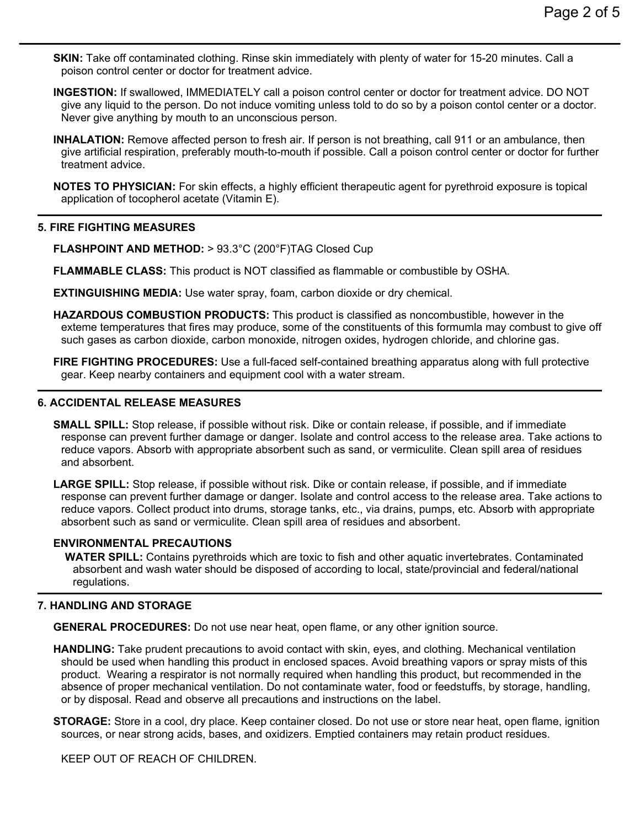**SKIN:** Take off contaminated clothing. Rinse skin immediately with plenty of water for 15-20 minutes. Call a poison control center or doctor for treatment advice.

- **INGESTION:** If swallowed, IMMEDIATELY call a poison control center or doctor for treatment advice. DO NOT give any liquid to the person. Do not induce vomiting unless told to do so by a poison contol center or a doctor. Never give anything by mouth to an unconscious person.
- **INHALATION:** Remove affected person to fresh air. If person is not breathing, call 911 or an ambulance, then give artificial respiration, preferably mouth-to-mouth if possible. Call a poison control center or doctor for further treatment advice.
- **NOTES TO PHYSICIAN:** For skin effects, a highly efficient therapeutic agent for pyrethroid exposure is topical application of tocopherol acetate (Vitamin E).

### **5. FIRE FIGHTING MEASURES**

**FLASHPOINT AND METHOD:** > 93.3°C (200°F)TAG Closed Cup

**FLAMMABLE CLASS:** This product is NOT classified as flammable or combustible by OSHA.

**EXTINGUISHING MEDIA:** Use water spray, foam, carbon dioxide or dry chemical.

**HAZARDOUS COMBUSTION PRODUCTS:** This product is classified as noncombustible, however in the exteme temperatures that fires may produce, some of the constituents of this formumla may combust to give off such gases as carbon dioxide, carbon monoxide, nitrogen oxides, hydrogen chloride, and chlorine gas.

**FIRE FIGHTING PROCEDURES:** Use a full-faced self-contained breathing apparatus along with full protective gear. Keep nearby containers and equipment cool with a water stream.

# **6. ACCIDENTAL RELEASE MEASURES**

**SMALL SPILL:** Stop release, if possible without risk. Dike or contain release, if possible, and if immediate response can prevent further damage or danger. Isolate and control access to the release area. Take actions to reduce vapors. Absorb with appropriate absorbent such as sand, or vermiculite. Clean spill area of residues and absorbent.

**LARGE SPILL:** Stop release, if possible without risk. Dike or contain release, if possible, and if immediate response can prevent further damage or danger. Isolate and control access to the release area. Take actions to reduce vapors. Collect product into drums, storage tanks, etc., via drains, pumps, etc. Absorb with appropriate absorbent such as sand or vermiculite. Clean spill area of residues and absorbent.

# **ENVIRONMENTAL PRECAUTIONS**

**WATER SPILL:** Contains pyrethroids which are toxic to fish and other aquatic invertebrates. Contaminated absorbent and wash water should be disposed of according to local, state/provincial and federal/national regulations.

# **7. HANDLING AND STORAGE**

**GENERAL PROCEDURES:** Do not use near heat, open flame, or any other ignition source.

**HANDLING:** Take prudent precautions to avoid contact with skin, eyes, and clothing. Mechanical ventilation should be used when handling this product in enclosed spaces. Avoid breathing vapors or spray mists of this product. Wearing a respirator is not normally required when handling this product, but recommended in the absence of proper mechanical ventilation. Do not contaminate water, food or feedstuffs, by storage, handling, or by disposal. Read and observe all precautions and instructions on the label.

**STORAGE:** Store in a cool, dry place. Keep container closed. Do not use or store near heat, open flame, ignition sources, or near strong acids, bases, and oxidizers. Emptied containers may retain product residues.

KEEP OUT OF REACH OF CHILDREN.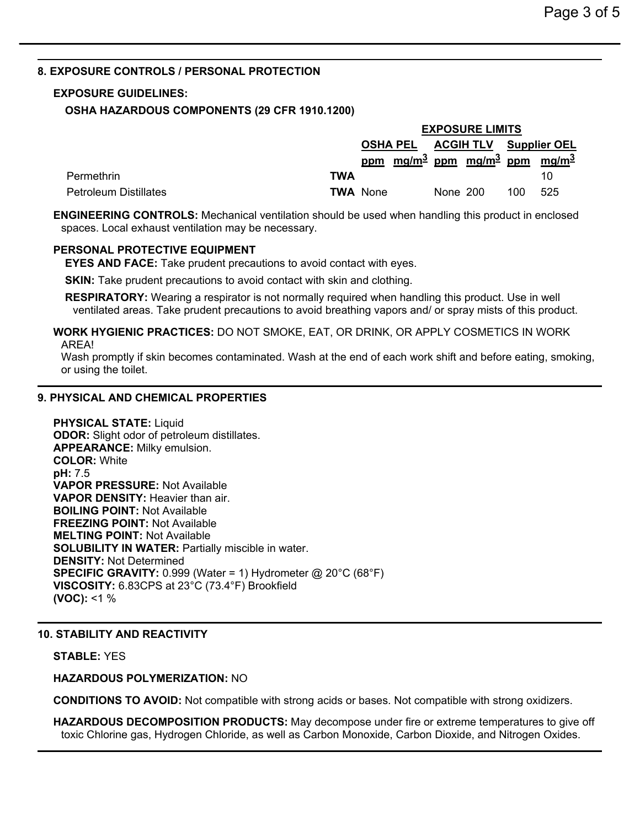**EXPOSURE LIMITS**

# **8. EXPOSURE CONTROLS / PERSONAL PROTECTION**

# **EXPOSURE GUIDELINES:**

# **OSHA HAZARDOUS COMPONENTS (29 CFR 1910.1200)**

|                              |     | <b>EXPOSURE LIMITS</b> |  |          |  |                                 |                                                                   |
|------------------------------|-----|------------------------|--|----------|--|---------------------------------|-------------------------------------------------------------------|
|                              |     |                        |  |          |  | OSHA PEL ACGIH TLV Supplier OEL |                                                                   |
|                              |     |                        |  |          |  |                                 | ppm mg/m <sup>3</sup> ppm mg/m <sup>3</sup> ppm mg/m <sup>3</sup> |
| Permethrin                   | TWA |                        |  |          |  |                                 | 10                                                                |
| <b>Petroleum Distillates</b> |     | <b>TWA</b> None        |  | None 200 |  | 100                             | 525                                                               |

**ENGINEERING CONTROLS:** Mechanical ventilation should be used when handling this product in enclosed spaces. Local exhaust ventilation may be necessary.

# **PERSONAL PROTECTIVE EQUIPMENT**

**EYES AND FACE:** Take prudent precautions to avoid contact with eyes.

**SKIN:** Take prudent precautions to avoid contact with skin and clothing.

**RESPIRATORY:** Wearing a respirator is not normally required when handling this product. Use in well ventilated areas. Take prudent precautions to avoid breathing vapors and/ or spray mists of this product.

#### **WORK HYGIENIC PRACTICES:** DO NOT SMOKE, EAT, OR DRINK, OR APPLY COSMETICS IN WORK AREA!

Wash promptly if skin becomes contaminated. Wash at the end of each work shift and before eating, smoking, or using the toilet.

# **9. PHYSICAL AND CHEMICAL PROPERTIES**

**PHYSICAL STATE:** Liquid **ODOR:** Slight odor of petroleum distillates. **APPEARANCE:** Milky emulsion. **COLOR:** White **pH:** 7.5 **VAPOR PRESSURE:** Not Available **VAPOR DENSITY:** Heavier than air. **BOILING POINT:** Not Available **FREEZING POINT:** Not Available **MELTING POINT:** Not Available **SOLUBILITY IN WATER:** Partially miscible in water. **DENSITY:** Not Determined **SPECIFIC GRAVITY:** 0.999 (Water = 1) Hydrometer @ 20°C (68°F) **VISCOSITY:** 6.83CPS at 23°C (73.4°F) Brookfield **(VOC):** <1 %

# **10. STABILITY AND REACTIVITY**

# **STABLE:** YES

# **HAZARDOUS POLYMERIZATION:** NO

**CONDITIONS TO AVOID:** Not compatible with strong acids or bases. Not compatible with strong oxidizers.

**HAZARDOUS DECOMPOSITION PRODUCTS:** May decompose under fire or extreme temperatures to give off toxic Chlorine gas, Hydrogen Chloride, as well as Carbon Monoxide, Carbon Dioxide, and Nitrogen Oxides.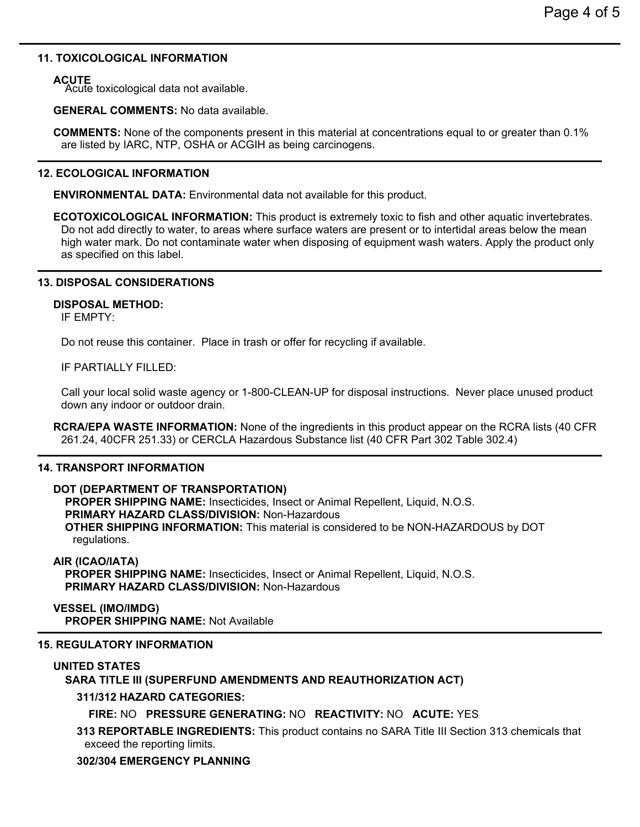#### **11. TOXICOLOGICAL INFORMATION**

# **ACUTE**

Acute toxicological data not available.

#### **GENERAL COMMENTS:** No data available.

**COMMENTS:** None of the components present in this material at concentrations equal to or greater than 0.1% are listed by IARC, NTP, OSHA or ACGIH as being carcinogens.

#### **12. ECOLOGICAL INFORMATION**

**ENVIRONMENTAL DATA:** Environmental data not available for this product.

**ECOTOXICOLOGICAL INFORMATION:** This product is extremely toxic to fish and other aquatic invertebrates. Do not add directly to water, to areas where surface waters are present or to intertidal areas below the mean high water mark. Do not contaminate water when disposing of equipment wash waters. Apply the product only as specified on this label.

#### **13. DISPOSAL CONSIDERATIONS**

#### **DISPOSAL METHOD:**

IF EMPTY:

Do not reuse this container. Place in trash or offer for recycling if available.

IF PARTIALLY FILLED:

Call your local solid waste agency or 1-800-CLEAN-UP for disposal instructions. Never place unused product down any indoor or outdoor drain.

**RCRA/EPA WASTE INFORMATION:** None of the ingredients in this product appear on the RCRA lists (40 CFR 261.24, 40CFR 251.33) or CERCLA Hazardous Substance list (40 CFR Part 302 Table 302.4)

# **14. TRANSPORT INFORMATION**

#### **DOT (DEPARTMENT OF TRANSPORTATION)**

**PROPER SHIPPING NAME:** Insecticides, Insect or Animal Repellent, Liquid, N.O.S. **PRIMARY HAZARD CLASS/DIVISION:** Non-Hazardous **OTHER SHIPPING INFORMATION:** This material is considered to be NON-HAZARDOUS by DOT regulations.

**AIR (ICAO/IATA) PROPER SHIPPING NAME:** Insecticides, Insect or Animal Repellent, Liquid, N.O.S. **PRIMARY HAZARD CLASS/DIVISION:** Non-Hazardous

**VESSEL (IMO/IMDG) PROPER SHIPPING NAME:** Not Available

# **15. REGULATORY INFORMATION**

#### **UNITED STATES**

**SARA TITLE III (SUPERFUND AMENDMENTS AND REAUTHORIZATION ACT)**

**311/312 HAZARD CATEGORIES:**

**FIRE:** NO **PRESSURE GENERATING:** NO **REACTIVITY:** NO **ACUTE:** YES

**313 REPORTABLE INGREDIENTS:** This product contains no SARA Title III Section 313 chemicals that exceed the reporting limits.

#### **302/304 EMERGENCY PLANNING**